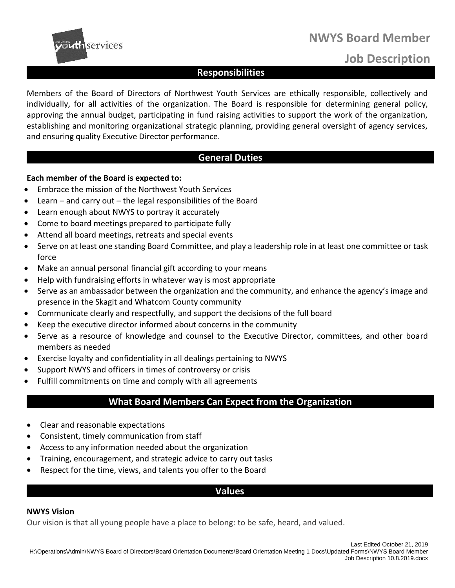



# **Job Description**

# **Responsibilities**

Members of the Board of Directors of Northwest Youth Services are ethically responsible, collectively and individually, for all activities of the organization. The Board is responsible for determining general policy, approving the annual budget, participating in fund raising activities to support the work of the organization, establishing and monitoring organizational strategic planning, providing general oversight of agency services, and ensuring quality Executive Director performance.

### **General Duties**

### **Each member of the Board is expected to:**

- Embrace the mission of the Northwest Youth Services
- Learn and carry out the legal responsibilities of the Board
- Learn enough about NWYS to portray it accurately
- Come to board meetings prepared to participate fully
- Attend all board meetings, retreats and special events
- Serve on at least one standing Board Committee, and play a leadership role in at least one committee or task force
- Make an annual personal financial gift according to your means
- Help with fundraising efforts in whatever way is most appropriate
- Serve as an ambassador between the organization and the community, and enhance the agency's image and presence in the Skagit and Whatcom County community
- Communicate clearly and respectfully, and support the decisions of the full board
- Keep the executive director informed about concerns in the community
- Serve as a resource of knowledge and counsel to the Executive Director, committees, and other board members as needed
- Exercise loyalty and confidentiality in all dealings pertaining to NWYS
- Support NWYS and officers in times of controversy or crisis
- Fulfill commitments on time and comply with all agreements

## **What Board Members Can Expect from the Organization**

- Clear and reasonable expectations
- Consistent, timely communication from staff
- Access to any information needed about the organization
- Training, encouragement, and strategic advice to carry out tasks
- Respect for the time, views, and talents you offer to the Board

### **Values**

#### **NWYS Vision**

Our vision is that all young people have a place to belong: to be safe, heard, and valued.